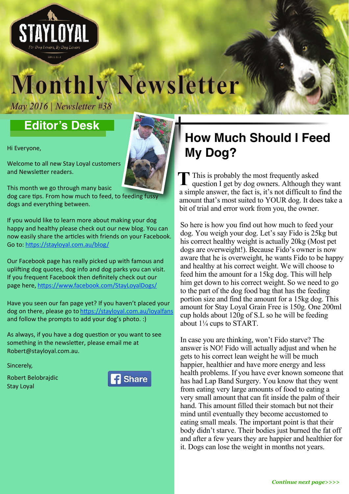

# **May 2016** | Newsletter #38 **May 2016** | Newsletter #38 **Monthly Newsletter**

*May 2016 | Newsletter #38*

### **Editor's Desk**

Hi Everyone,

Welcome to all new Stay Loyal customers and Newsletter readers.

This month we go through many basic

dog care tips. From how much to feed, to feeding fuss dogs and everything between.

If you would like to learn more about making your dog happy and healthy please check out our new blog. You can now easily share the articles with friends on your Facebook. Go to: https://stayloyal.com.au/blog/

Our Facebook page has really picked up with famous and uplifting dog quotes, dog info and dog parks you can visit. If you frequent Facebook then definitely check out our page here, https://www.facebook.com/StayLoyalDogs/

Have you seen our fan page yet? If you haven't placed your dog on there, please go to <u>https://stayloyal.com.au/loyalfans</u> and follow the prompts to add your dog's photo. :)

As always, if you have a dog question or you want to see something in the newsletter, please email me at Robert@stayloyal.com.au.

Sincerely,

Robert Belobrajdic Stay Loyal



## **How Much Should I Feed My Dog?**

 This is probably the most frequently asked This is probably the most frequently asked<br>question I get by dog owners. Although they want a simple answer, the fact is, it's not difficult to find the amount that's most suited to YOUR dog. It does take a bit of trial and error work from you, the owner.

So here is how you find out how much to feed your dog. You weigh your dog. Let's say Fido is 25kg but his correct healthy weight is actually 20kg (Most pet dogs are overweight!). Because Fido's owner is now aware that he is overweight, he wants Fido to be happy and healthy at his correct weight. We will choose to feed him the amount for a 15kg dog. This will help him get down to his correct weight. So we need to go to the part of the dog food bag that has the feeding portion size and find the amount for a 15kg dog. This amount for Stay Loyal Grain Free is 150g. One 200ml cup holds about 120g of S.L so he will be feeding about 1¼ cups to START.

In case you are thinking, won't Fido starve? The answer is NO! Fido will actually adjust and when he gets to his correct lean weight he will be much happier, healthier and have more energy and less health problems. If you have ever known someone that has had Lap Band Surgery. You know that they went from eating very large amounts of food to eating a very small amount that can fit inside the palm of their hand. This amount filled their stomach but not their mind until eventually they become accustomed to eating small meals. The important point is that their body didn't starve. Their bodies just burned the fat off and after a few years they are happier and healthier for it. Dogs can lose the weight in months not years.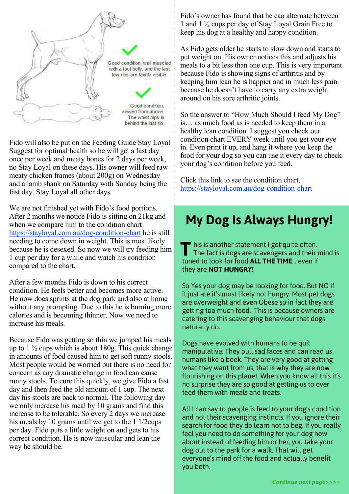

Fido will also be put on the Feeding Guide Stay Loyal Suggest for optimal health so he will get a fast day once per week and meaty bones for 2 days per week, no Stay Loyal on these days. His owner will feed raw meaty chicken frames (about 200g) on Wednesday and a lamb shank on Saturday with Sunday being the fast day. Stay Loyal all other days.

We are not finished yet with Fido's food portions. After 2 months we notice Fido is sitting on 21kg and when we compare him to the condition chart [https://stayloyal.com.au/dog-condition-chart h](https://stayloyal.com.au/dog-condition-chart)e is still needing to come down in weight. This is most likely because he is desexed. So now we will try feeding him 1 cup per day for a while and watch his condition compared to the chart.

After a few months Fido is down to his correct condition. He feels better and becomes more active. He now does sprints at the dog park and also at home without any prompting. Due to this he is burning more calories and is becoming thinner. Now we need to increase his meals.

Because Fido was getting so thin we jumped his meals up to  $1\frac{1}{2}$  cups which is about 180g. This quick change in amounts of food caused him to get soft runny stools. Most people would be worried but there is no need for concern as any dramatic change in food can cause runny stools. To cure this quickly, we give Fido a fast day and then feed the old amount of 1 cup. The next day his stools are back to normal. The following day we only increase his meal by 10 grams and find this increase to be tolerable. So every 2 days we increase his meals by 10 grams until we get to the 1 1/2cups per day. Fido puts a little weight on and gets to his correct condition. He is now muscular and lean the way he should be.

Fido's owner has found that he can alternate between 1 and 1 ½ cups per day of Stay Loyal Grain Free to keep his dog at a healthy and happy condition.

As Fido gets older he starts to slow down and starts to put weight on. His owner notices this and adjusts his meals to a bit less than one cup. This is very important because Fido is showing signs of arthritis and by keeping him lean he is happier and in much less pain because he doesn't have to carry any extra weight around on his sore arthritic joints.

So the answer to "How Much Should I feed My Dog" is… as much food as is needed to keep them in a healthy lean condition. I suggest you check our condition chart EVERY week until you get your eye in. Even print it up, and hang it where you keep the food for your dog so you can use it every day to check your dog's condition before you feed.

Click this link to see the condition chart. <https://stayloyal.com.au/dog-condition-chart>

## **My Dog Is Always Hungry!**

 his is another statement I get quite often. The fact is dogs are scavengers and their mind is tuned to look for food **ALL THE TIME**… even if they are **NOT HUNGRY! T**

So Yes your dog may be looking for food. But NO if it just ate it's most likely not hungry. Most pet dogs are overweight and even Obese so in fact they are getting too much food. This is because owners are catering to this scavenging behaviour that dogs naturally do.

Dogs have evolved with humans to be quit manipulative. They pull sad faces and can read us humans like a book. They are very good at getting what they want from us, that is why they are now flourishing on this planet. When you know all this it's no surprise they are so good at getting us to over feed them with meals and treats.

All I can say to people is feed to your dog's condition and not their scavenging instincts. If you ignore their search for food they do learn not to beg. If you really feel you need to do something for your dog how about instead of feeding him or her, you take your dog out to the park for a walk. That will get everyone's mind off the food and actually benefit you both.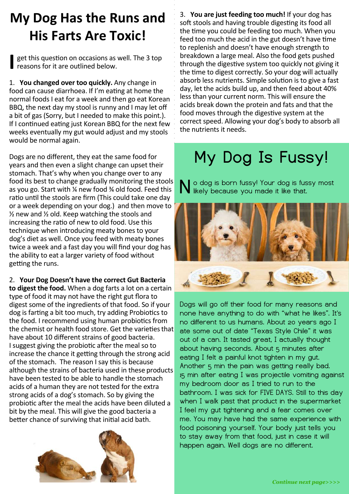## **My Dog Has the Runs and His Farts Are Toxic!**

Shappon set this question on occasions as well. The 3 top reasons for it are outlined below.

1. You changed over too quickly. Any change in food can cause diarrhoea. If I'm eating at home the normal foods I eat for a week and then go eat Korean BBQ, the next day my stool is runny and I may let off a bit of gas (Sorry, but I needed to make this point.). If I continued eating just Korean BBQ for the next few weeks eventually my gut would adjust and my stools would be normal again.

Dogs are no different, they eat the same food for years and then even a slight change can upset their stomach. That's why when you change over to any food its best to change gradually monitoring the stools as vou go. Start with 1/4 new food 3/4 old food. Feed this ratio until the stools are firm (This could take one day or a week depending on your dog.) and then move to  $\frac{1}{2}$  new and  $\frac{1}{2}$  old. Keep watching the stools and increasing the ratio of new to old food. Use this technique when introducing meaty bones to your dog's diet as well. Once you feed with meaty bones twice a week and a fast day you will find your dog has the ability to eat a larger variety of food without getting the runs.

### 2. Your Dog Doesn't have the correct Gut Bacteria

**to digest the food.** When a dog farts a lot on a certain type of food it may not have the right gut flora to digest some of the ingredients of that food. So if your dog is farting a bit too much, try adding Probiotics to the food. I recommend using human probiotics from the chemist or health food store. Get the varieties that have about 10 different strains of good bacteria. I suggest giving the probiotic after the meal so to increase the chance it getting through the strong acid of the stomach. The reason I say this is because although the strains of bacteria used in these products have been tested to be able to handle the stomach acids of a human they are not tested for the extra strong acids of a dog's stomach. So by giving the probiotic after the meal the acids have been diluted a bit by the meal. This will give the good bacteria a better chance of surviving that initial acid bath.



3. You are just feeding too much! If your dog has soft stools and having trouble digesting its food all the time you could be feeding too much. When you feed too much the acid in the gut doesn't have time to replenish and doesn't have enough strength to breakdown a large meal. Also the food gets pushed through the digestive system too quickly not giving it the time to digest correctly. So your dog will actually absorb less nutrients. Simple solution is to give a fast day, let the acids build up, and then feed about 40% less than your current norm. This will ensure the acids break down the protein and fats and that the food moves through the digestive system at the correct speed. Allowing your dog's body to absorb all the nutrients it needs.

# **My Dog Is Fussy!**

o dog is born fussy! Your dog is fussy most **N** likely because you made it like that.



Dogs will go off their food for many reasons and none have anything to do with "what he likes". It's no different to us humans. About 20 years ago I ate some out of date "Texas Style Chile" it was out of a can. It tasted great, I actually thought about having seconds. About 5 minutes after eating I felt a painful knot tighten in my gut. Another 5 min the pain was getting really bad. 15 min after eating I was projectile vomiting against my bedroom door as I tried to run to the bathroom. I was sick for FIVE DAYS. Still to this day when I walk past that product in the supermarket I feel my gut tightening and a fear comes over me. You may have had the same experience with food poisoning yourself. Your body just tells you to stay away from that food, just in case it will happen again. Well dogs are no different.